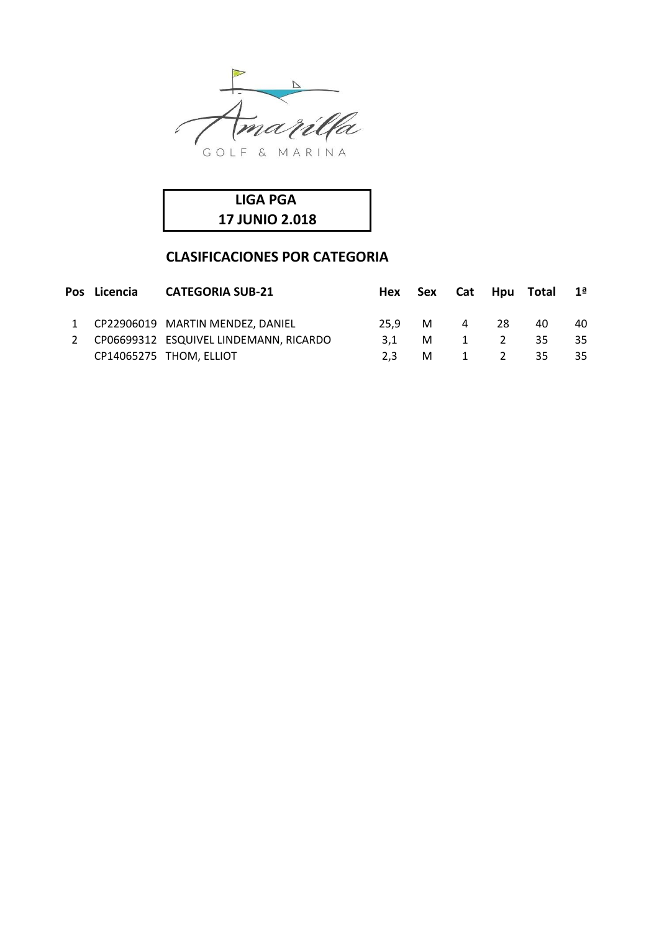



## **CLASIFICACIONES POR CATEGORIA**

|  | Pos Licencia CATEGORIA SUB-21            |     |          |              |     | Hex Sex Cat Hpu Total 1 <sup>ª</sup> |    |
|--|------------------------------------------|-----|----------|--------------|-----|--------------------------------------|----|
|  | 1 CP22906019 MARTIN MENDEZ, DANIEL       |     |          | 25.9 M 4     | -28 | 40                                   | 40 |
|  | 2 CP06699312 ESQUIVEL LINDEMANN, RICARDO | 3.1 | <b>M</b> | $\mathbf{1}$ | 2   | 35                                   | 35 |
|  | CP14065275 THOM, ELLIOT                  | 2.3 |          | M 1          | 2   | 35                                   | 35 |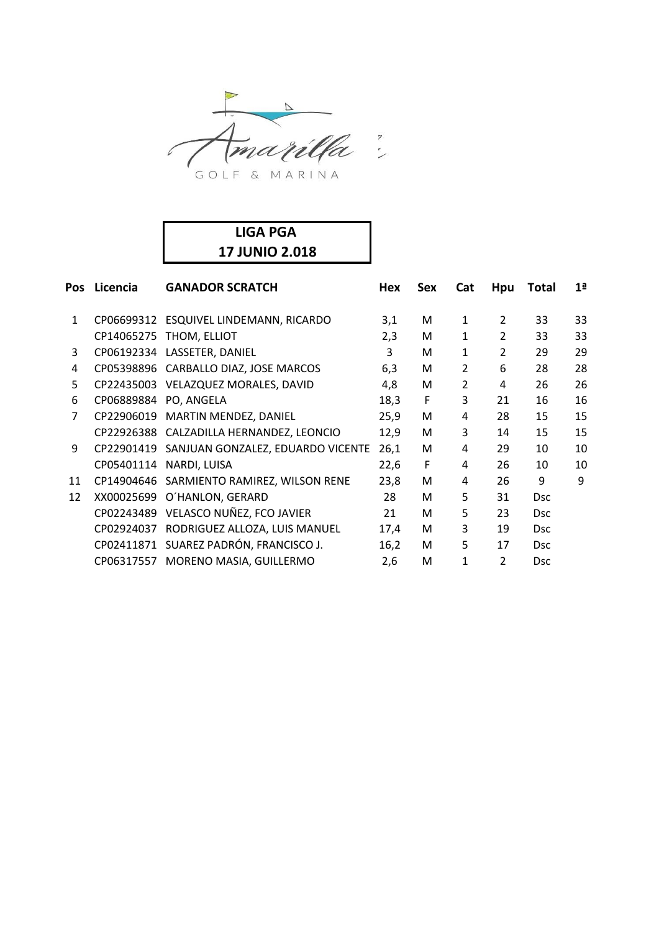

## **LIGA PGA 17 JUNIO 2.018**

| Pos            | Licencia              | <b>GANADOR SCRATCH</b>                    | Hex  | Sex | Cat            | Hpu | Total      | 1 <sup>a</sup> |
|----------------|-----------------------|-------------------------------------------|------|-----|----------------|-----|------------|----------------|
| 1              |                       | CP06699312 ESQUIVEL LINDEMANN, RICARDO    | 3,1  | M   | 1              | 2   | 33         | 33             |
|                | CP14065275            | THOM, ELLIOT                              | 2,3  | M   | 1              | 2   | 33         | 33             |
| 3              |                       | CP06192334 LASSETER, DANIEL               | 3    | M   | 1              | 2   | 29         | 29             |
| 4              |                       | CP05398896 CARBALLO DIAZ, JOSE MARCOS     | 6,3  | M   | $\overline{2}$ | 6   | 28         | 28             |
| 5              |                       | CP22435003 VELAZQUEZ MORALES, DAVID       | 4,8  | M   | $\overline{2}$ | 4   | 26         | 26             |
| 6              | CP06889884 PO, ANGELA |                                           | 18,3 | F   | 3              | 21  | 16         | 16             |
| $\overline{7}$ |                       | CP22906019 MARTIN MENDEZ, DANIEL          | 25,9 | M   | 4              | 28  | 15         | 15             |
|                |                       | CP22926388 CALZADILLA HERNANDEZ, LEONCIO  | 12,9 | M   | 3              | 14  | 15         | 15             |
| 9              | CP22901419            | SANJUAN GONZALEZ, EDUARDO VICENTE         | 26,1 | M   | 4              | 29  | 10         | 10             |
|                | CP05401114            | NARDI, LUISA                              | 22,6 | F   | 4              | 26  | 10         | 10             |
| 11             |                       | CP14904646 SARMIENTO RAMIREZ, WILSON RENE | 23,8 | M   | 4              | 26  | 9          | 9              |
| 12             | XX00025699            | O'HANLON, GERARD                          | 28   | M   | 5              | 31  | <b>Dsc</b> |                |
|                | CP02243489            | VELASCO NUÑEZ, FCO JAVIER                 | 21   | M   | 5              | 23  | <b>Dsc</b> |                |
|                | CP02924037            | RODRIGUEZ ALLOZA, LUIS MANUEL             | 17,4 | M   | 3              | 19  | <b>Dsc</b> |                |
|                |                       | CP02411871 SUAREZ PADRÓN, FRANCISCO J.    | 16,2 | M   | 5              | 17  | <b>Dsc</b> |                |
|                | CP06317557            | MORENO MASIA, GUILLERMO                   | 2,6  | M   | 1              | 2   | <b>Dsc</b> |                |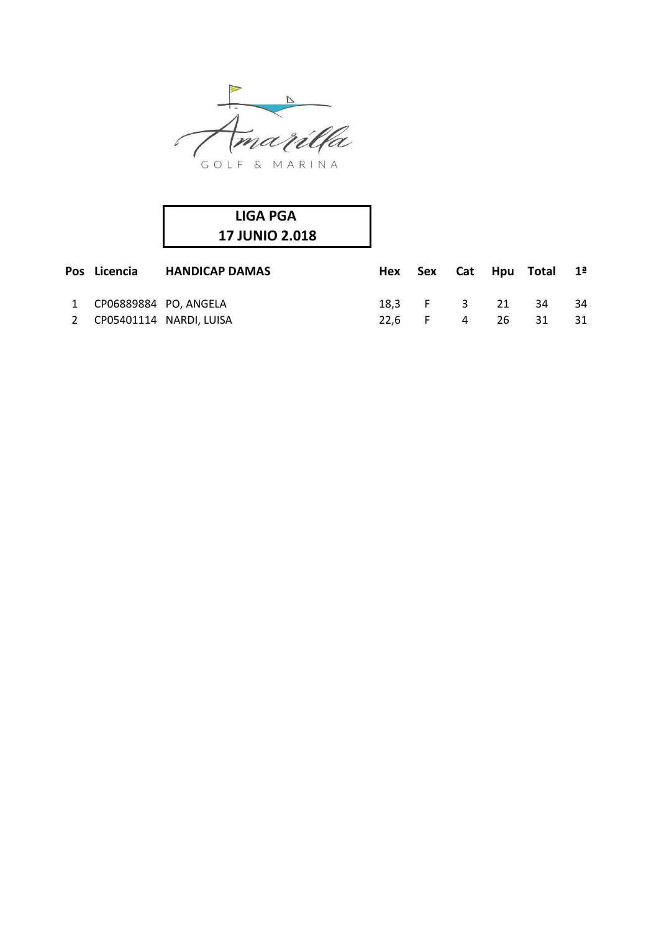

| <b>LIGA PGA</b>       |  |
|-----------------------|--|
| <b>17 JUNIO 2.018</b> |  |

| Pos Licencia            | <b>HANDICAP DAMAS</b>     |  |                | Hex Sex Cat Hpu Total 1 <sup>ª</sup> |      |
|-------------------------|---------------------------|--|----------------|--------------------------------------|------|
| 1 CP06889884 PO, ANGELA |                           |  | 18.3 F 3 21 34 |                                      | 34   |
|                         | 2 CP05401114 NARDI, LUISA |  |                | 22.6 F 4 26 31                       | - 31 |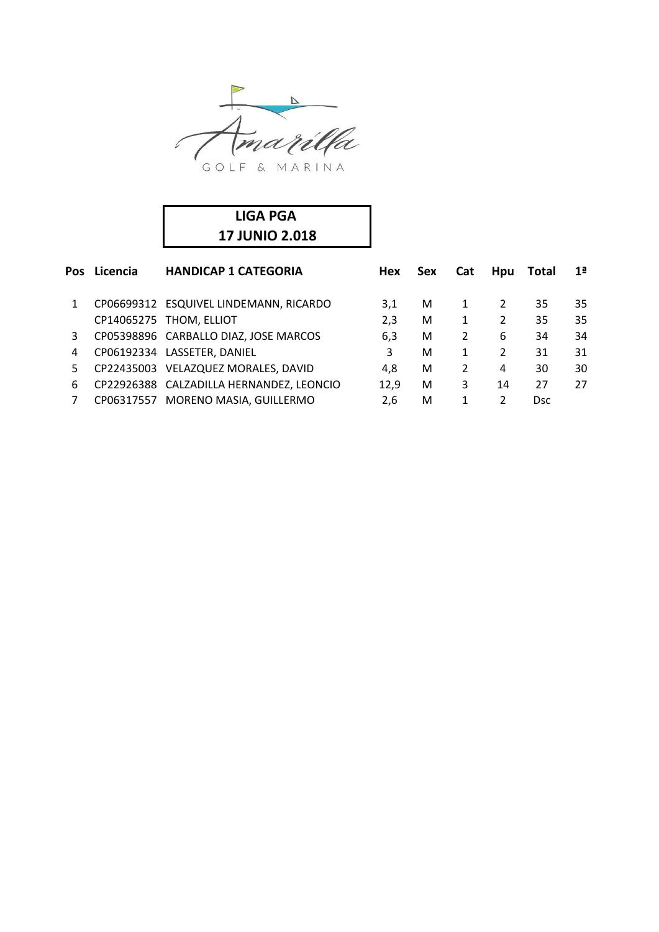

| <b>LIGA PGA</b>       |  |
|-----------------------|--|
| <b>17 JUNIO 2.018</b> |  |

| Pos | Licencia | <b>HANDICAP 1 CATEGORIA</b>              | <b>Hex</b> | <b>Sex</b> | Cat            | <b>Hpu</b> | Total      | 1 <sup>a</sup> |
|-----|----------|------------------------------------------|------------|------------|----------------|------------|------------|----------------|
| 1   |          | CP06699312 ESQUIVEL LINDEMANN, RICARDO   | 3,1        | M          | 1              | 2          | 35         | 35             |
|     |          | CP14065275 THOM, ELLIOT                  | 2,3        | М          | 1              | 2          | 35         | 35             |
| 3   |          | CP05398896 CARBALLO DIAZ, JOSE MARCOS    | 6,3        | М          | $\overline{2}$ | 6          | 34         | 34             |
| 4   |          | CP06192334 LASSETER, DANIEL              | 3          | M          |                | 2          | 31         | 31             |
| 5   |          | CP22435003 VELAZQUEZ MORALES, DAVID      | 4.8        | М          | $\overline{2}$ | 4          | 30         | 30             |
| 6   |          | CP22926388 CALZADILLA HERNANDEZ, LEONCIO | 12,9       | М          | 3              | 14         | 27         | 27             |
|     |          | CP06317557 MORENO MASIA, GUILLERMO       | 2.6        | М          |                | 2          | <b>Dsc</b> |                |
|     |          |                                          |            |            |                |            |            |                |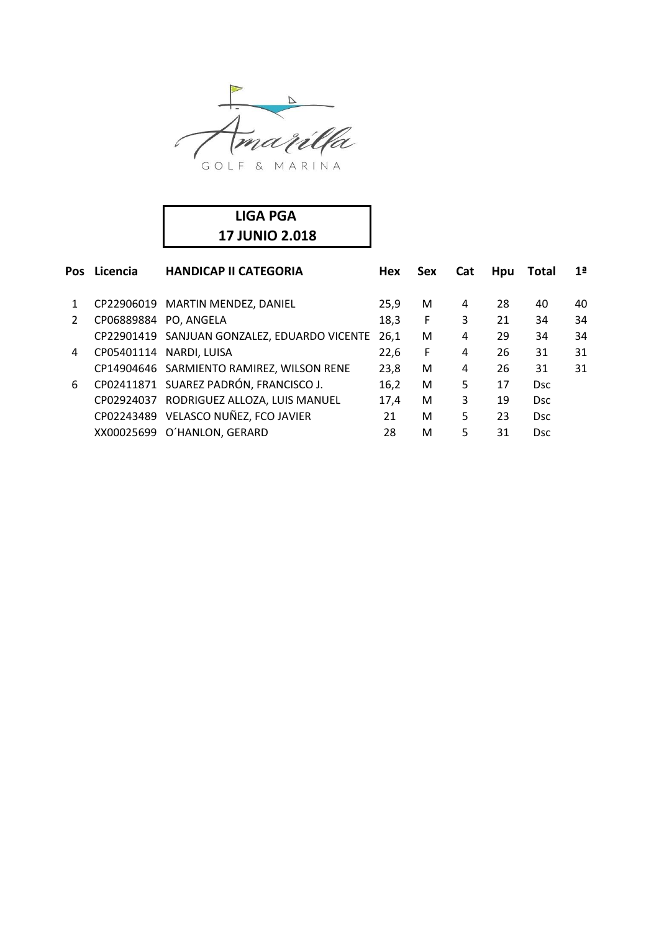

| LIGA PGA              |  |
|-----------------------|--|
| <b>17 JUNIO 2.018</b> |  |

| Licencia | <b>HANDICAP II CATEGORIA</b> | <b>Hex</b>                                                                                                                                                                                                                                                                                                                                     | <b>Sex</b> | <b>Cat</b> | Hpu | Total      | 1 <sup>a</sup> |
|----------|------------------------------|------------------------------------------------------------------------------------------------------------------------------------------------------------------------------------------------------------------------------------------------------------------------------------------------------------------------------------------------|------------|------------|-----|------------|----------------|
|          |                              | 25,9                                                                                                                                                                                                                                                                                                                                           | M          | 4          | 28  | 40         | 40             |
|          |                              | 18,3                                                                                                                                                                                                                                                                                                                                           | F          | 3          | 21  | 34         | 34             |
|          |                              | 26,1                                                                                                                                                                                                                                                                                                                                           | M          | 4          | 29  | 34         | 34             |
|          |                              | 22,6                                                                                                                                                                                                                                                                                                                                           | F          | 4          | 26  | 31         | 31             |
|          |                              | 23,8                                                                                                                                                                                                                                                                                                                                           | M          | 4          | 26  | 31         | 31             |
|          |                              | 16,2                                                                                                                                                                                                                                                                                                                                           | M          | 5          | 17  | <b>Dsc</b> |                |
|          |                              | 17.4                                                                                                                                                                                                                                                                                                                                           | M          | 3          | 19  | Dsc.       |                |
|          |                              | 21                                                                                                                                                                                                                                                                                                                                             | M          | 5          | 23  | <b>Dsc</b> |                |
|          |                              | 28                                                                                                                                                                                                                                                                                                                                             | M          | 5          | 31  | <b>Dsc</b> |                |
|          |                              | CP22906019 MARTIN MENDEZ, DANIEL<br>CP06889884 PO, ANGELA<br>CP22901419 SANJUAN GONZALEZ, EDUARDO VICENTE<br>CP05401114 NARDI, LUISA<br>CP14904646 SARMIENTO RAMIREZ, WILSON RENE<br>CP02411871 SUAREZ PADRÓN, FRANCISCO J.<br>CP02924037 RODRIGUEZ ALLOZA, LUIS MANUEL<br>CP02243489 VELASCO NUÑEZ, FCO JAVIER<br>XX00025699 O'HANLON, GERARD |            |            |     |            |                |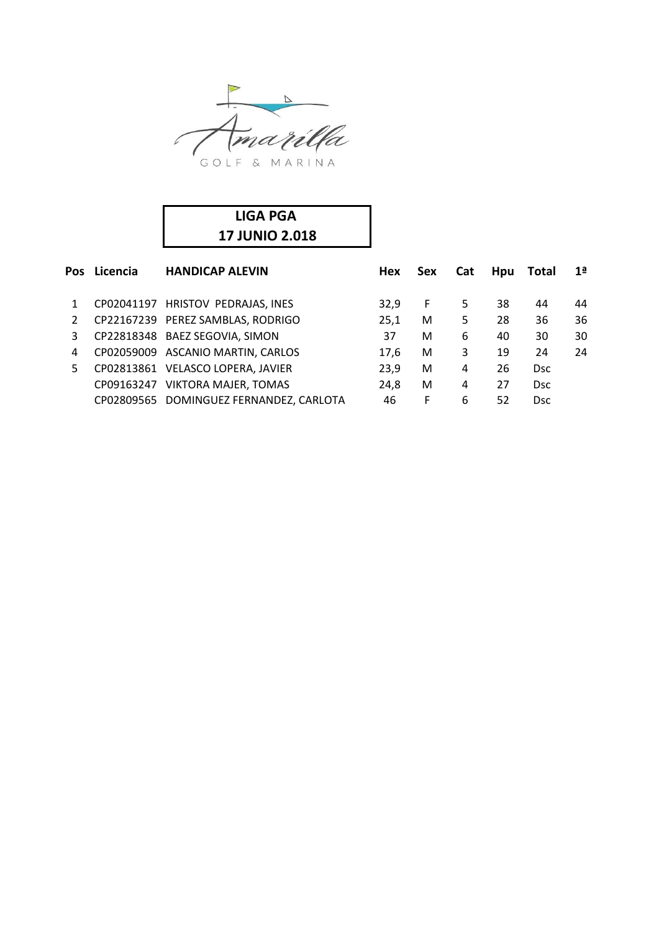

| LIGA PGA              |  |
|-----------------------|--|
| <b>17 JUNIO 2.018</b> |  |

| <b>Pos</b> | Licencia   | <b>HANDICAP ALEVIN</b>                  | <b>Hex</b> | <b>Sex</b> | <b>Cat</b> | <b>Hpu</b> | Total      | 1 <sup>a</sup> |
|------------|------------|-----------------------------------------|------------|------------|------------|------------|------------|----------------|
|            |            | CP02041197 HRISTOV PEDRAJAS, INES       | 32.9       | F.         | 5.         | 38         | 44         | 44             |
| 2          |            | CP22167239 PEREZ SAMBLAS, RODRIGO       | 25,1       | M          | 5          | 28         | 36         | 36             |
| 3          |            | CP22818348 BAEZ SEGOVIA, SIMON          | 37         | М          | 6          | 40         | 30         | 30             |
| 4          |            | CP02059009 ASCANIO MARTIN, CARLOS       | 17.6       | M          | 3          | 19         | 24         | 24             |
| 5.         |            | CP02813861 VELASCO LOPERA, JAVIER       | 23,9       | М          | 4          | 26         | <b>Dsc</b> |                |
|            | CP09163247 | <b>VIKTORA MAJER, TOMAS</b>             | 24,8       | М          | 4          | 27         | <b>Dsc</b> |                |
|            |            | CP02809565 DOMINGUEZ FERNANDEZ, CARLOTA | 46         | F          | 6          | 52         | <b>Dsc</b> |                |
|            |            |                                         |            |            |            |            |            |                |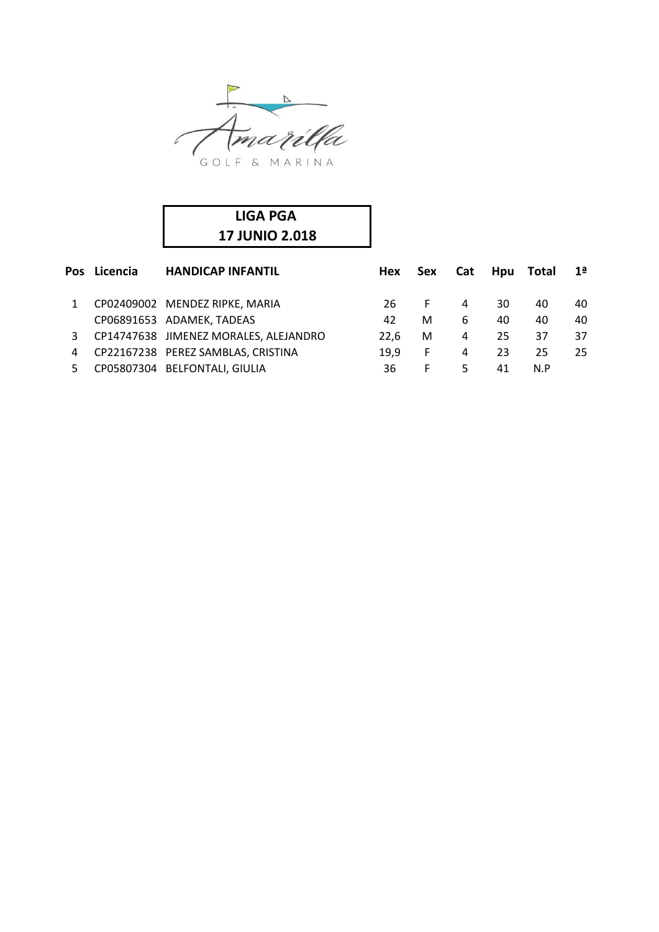

| <b>LIGA PGA</b>       |  |
|-----------------------|--|
| <b>17 JUNIO 2.018</b> |  |

|    | Pos Licencia | <b>HANDICAP INFANTIL</b>              | Hex  | <b>Sex</b> | <b>Cat</b> | <b>Hpu</b> | Total | 1 <sup>a</sup> |
|----|--------------|---------------------------------------|------|------------|------------|------------|-------|----------------|
|    |              | CP02409002 MENDEZ RIPKE, MARIA        | 26.  | F.         | 4          | 30         | 40    | 40             |
|    |              | CP06891653 ADAMEK, TADEAS             | 42   | M          | 6          | 40         | 40    | 40             |
| 3  |              | CP14747638 JIMENEZ MORALES, ALEJANDRO | 22.6 | M          | 4          | 25         | 37    | 37             |
| 4  |              | CP22167238 PEREZ SAMBLAS, CRISTINA    | 19.9 | F.         | 4          | 23         | 25    | 25.            |
| 5. |              | CP05807304 BELFONTALI, GIULIA         | 36   | F.         | 5.         | 41         | N.P   |                |
|    |              |                                       |      |            |            |            |       |                |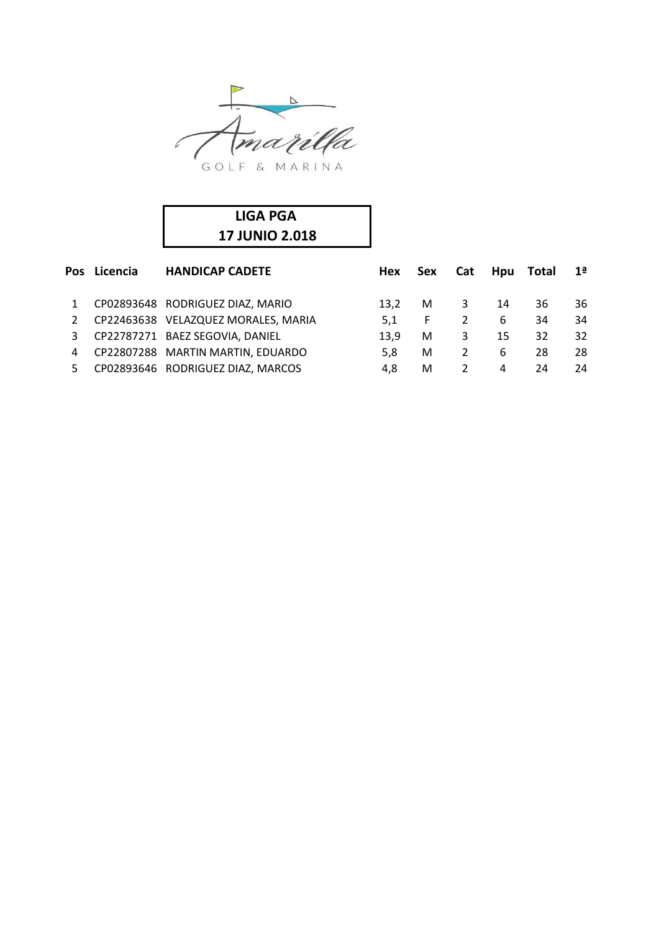

| LIGA PGA              |  |
|-----------------------|--|
| <b>17 JUNIO 2.018</b> |  |

|    | Pos Licencia | <b>HANDICAP CADETE</b>              | Hex  | Sex | Cat | <b>Hpu</b> | Total | 1ª |
|----|--------------|-------------------------------------|------|-----|-----|------------|-------|----|
|    |              | CP02893648 RODRIGUEZ DIAZ, MARIO    | 13.2 | M   | 3   | 14         | 36    | 36 |
| 2  |              | CP22463638 VELAZQUEZ MORALES, MARIA | 5.1  | F.  | 2   | 6          | 34    | 34 |
| 3  |              | CP22787271 BAEZ SEGOVIA, DANIEL     | 13.9 | M   | 3   | 15         | 32    | 32 |
| 4  |              | CP22807288 MARTIN MARTIN, EDUARDO   | 5.8  | M   | 2   | 6          | 28    | 28 |
| 5. |              | CP02893646 RODRIGUEZ DIAZ, MARCOS   | 4.8  | M   |     | 4          | 24    | 24 |
|    |              |                                     |      |     |     |            |       |    |